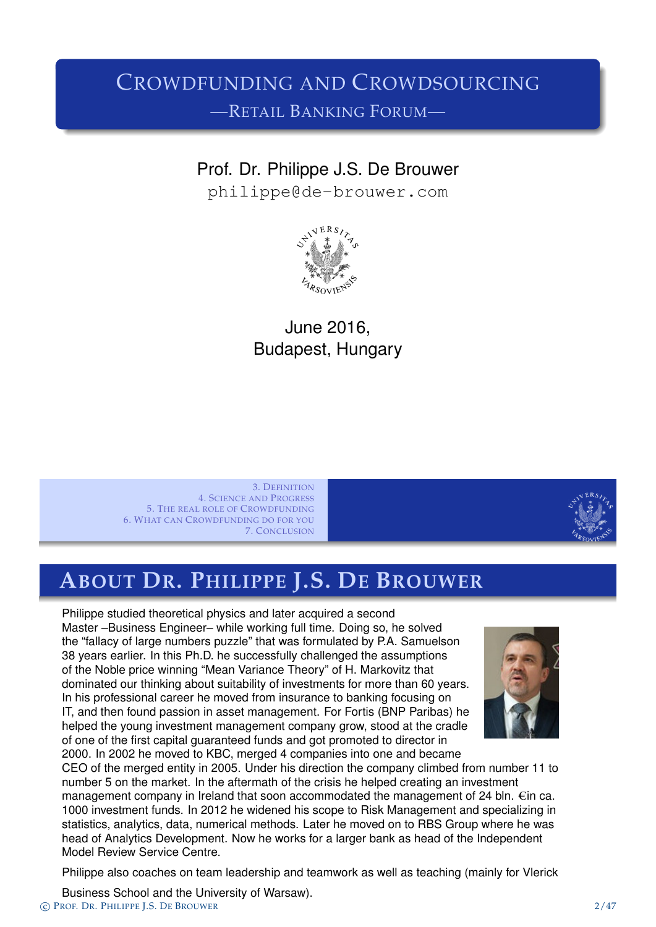### CROWDFUNDING AND CROWDSOURCING —RETAIL BANKING FORUM—

### Prof. Dr. Philippe J.S. De Brouwer

philippe@de-brouwer.com



### June 2016, Budapest, Hungary

3. DEFINITION 4. SCIENCE AND PROGRESS 5. THE REAL ROLE OF CROWDFUNDING 6. WHAT CAN CROWDFUNDING DO FOR YOU 7. CONCLUSION



### **ABOUT DR. PHILIPPE J.S. DE BROUWER**

Philippe studied theoretical physics and later acquired a second [Master –Business Enginee](#page-3-0)r– while working full time. Doing so, he solved [the "fallacy of large numbe](#page-5-0)rs puzzle" that was formulated by P.A. Samuelson [38 years earlier. In this Ph.](#page-11-0)D. he successfully challenged the assumptions [of the Noble price winning](#page-15-0) "Mean Variance Theory" of H. Markovitz that dominated our thinking about suitability of investments for more than 60 years. In his professional career he moved from insurance to banking focusing on IT, and then found passion in asset management. For Fortis (BNP Paribas) he helped the young investment management company grow, stood at the cradle of one of the first capital guaranteed funds and got promoted to director in 2000. In 2[002 he moved to KBC, merged 4](philippe@de-brouwer.com) companies into one and became



CEO of the merged entity in 2005. Under his direction the company climbed from number 11 to number 5 on the market. In the aftermath of the crisis he helped creating an investment management company in Ireland that soon accommodated the management of 24 bln.  $\epsilon$ in ca. 1000 investment funds. In 2012 he widened his scope to Risk Management and specializing in statistics, analytics, data, numerical methods. Later he moved on to RBS Group where he was head of Analytics Development. Now he works for a larger bank as head of the Independent Model Review Service Centre.

Philippe also coaches on team leadership and teamwork as well as teaching (mainly for Vlerick

Business School and the University of Warsaw). c PROF. DR. PHILIPPE J.S. DE BROUWER 2/47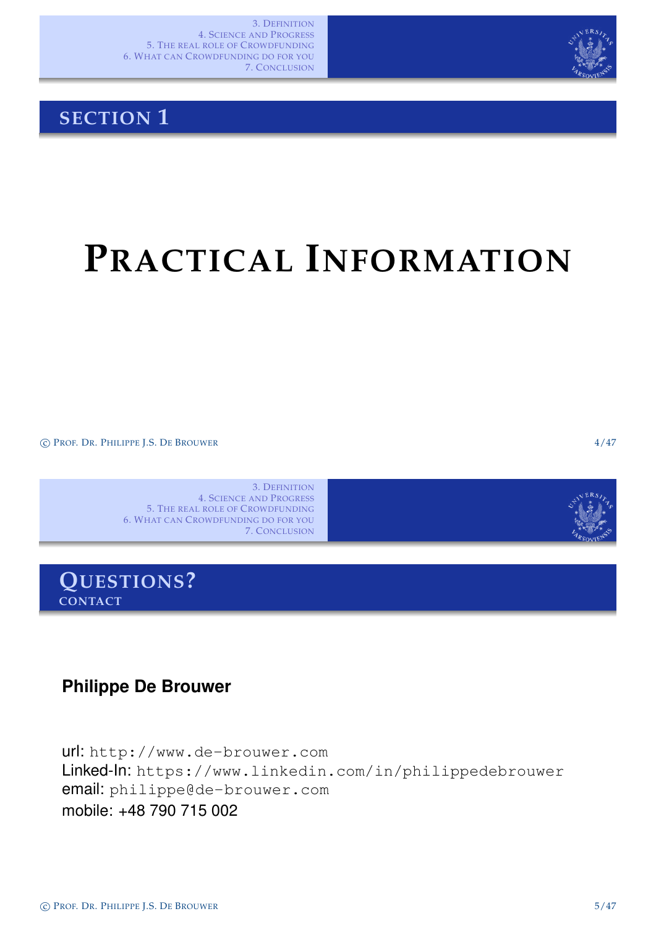

### **SECTION 1**

## **PRACTICAL INFORMATION**

c PROF. DR. PHILIPPE J.S. DE BROUWER 4/47

3. DEFINITION 4. SCIENCE AND PROGRESS 5. THE REAL ROLE OF CROWDFUNDING 6. WHAT CAN CROWDFUNDING DO FOR YOU 7. CONCLUSION



**QUESTIONS? CONTACT**

#### **Philippe De Brouwer**

<span id="page-1-0"></span>url: http://www.de-brouwer.com Linked-In: https://www.linkedin.com/in/philippedebrouwer email: [philippe@de-brouwer.com](#page-1-0) [mobile: +48 790 715](http://www.de-brouwer.com) 002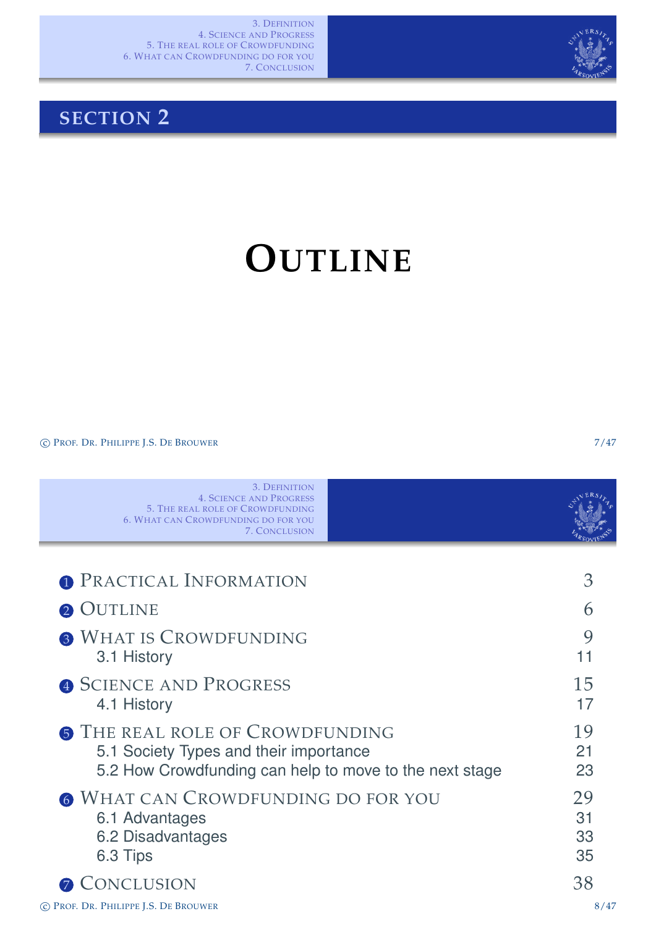

### **SECTION 2**

## **OUTLINE**

C PROF. DR. PHILIPPE J.S. DE BROUWER 7/47

<span id="page-2-0"></span>

| 3. DEFINITION<br><b>4. SCIENCE AND PROGRESS</b><br><b>5. THE REAL ROLE OF CROWDFUNDING</b><br><b>6. WHAT CAN CROWDFUNDING DO FOR YOU</b><br><b>7. CONCLUSION</b> |                      |
|------------------------------------------------------------------------------------------------------------------------------------------------------------------|----------------------|
| <b>1 PRACTICAL INFORMATION</b>                                                                                                                                   | 3                    |
|                                                                                                                                                                  |                      |
| 2 OUTLINE                                                                                                                                                        | 6                    |
| <b>3 WHAT IS CROWDFUNDING</b><br>3.1 History                                                                                                                     | 9<br>11              |
| <b>4 SCIENCE AND PROGRESS</b><br>4.1 History                                                                                                                     | 15<br>17             |
| <b>6 THE REAL ROLE OF CROWDFUNDING</b><br>5.1 Society Types and their importance<br>5.2 How Crowdfunding can help to move to the next stage                      | 19<br>21<br>23       |
| 6 WHAT CAN CROWDFUNDING DO FOR YOU<br>6.1 Advantages<br>6.2 Disadvantages<br>6.3 Tips                                                                            | 29<br>31<br>33<br>35 |
| CONCLUSION<br>$\mathcal{T}$                                                                                                                                      | 38                   |
| © PROF. DR. PHILIPPE J.S. DE BROUWER                                                                                                                             | 8/47                 |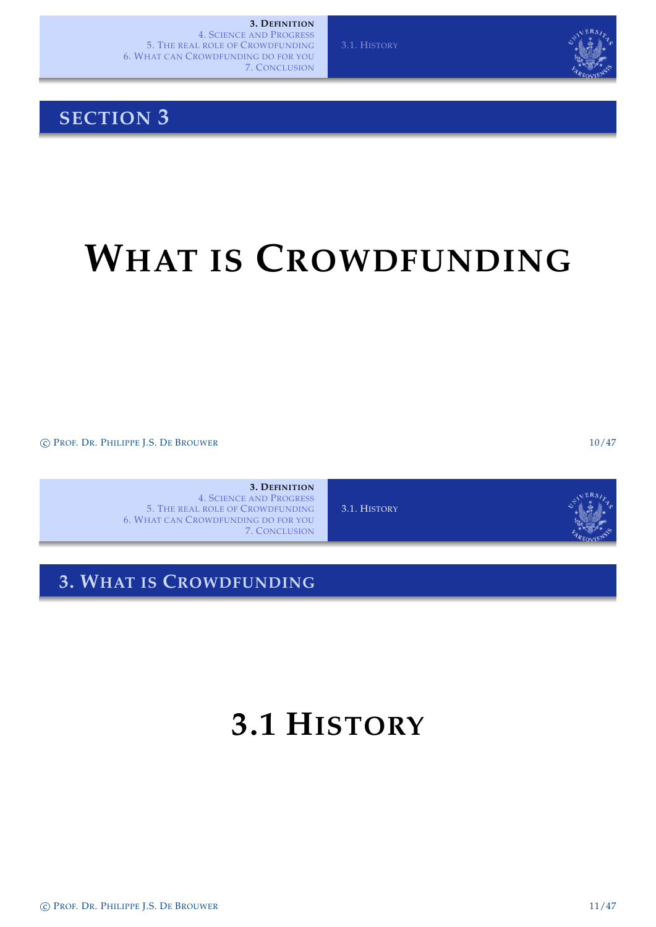### **SECTION 3**

## **WHAT IS CROWDFUNDING**

c PROF. DR. PHILIPPE J.S. DE BROUWER 10/47

**3. DEFINITION** 4. SCIENCE AND PROGRESS 5. THE REAL ROLE OF CROWDFUNDING 6. WHAT CAN CROWDFUNDING DO FOR YOU 7. CONCLUSION

3.1. HISTORY

### **3. WHAT IS CROWDFUNDING**

### <span id="page-3-0"></span>**3.1 HISTORY**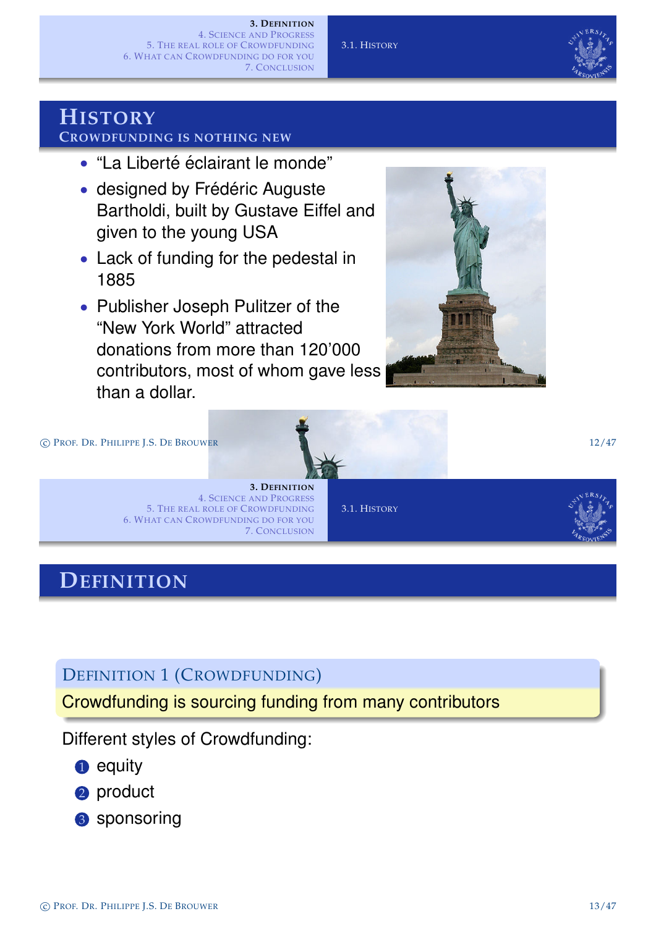#### **3. DEFINITION**

4. SCIENCE AND PROGRESS 5. THE REAL ROLE OF CROWDFUNDING 6. WHAT CAN CROWDFUNDING DO FOR YOU 7. CONCLUSION

3.1. HISTORY



#### **HISTORY CROWDFUNDING IS NOTHING NEW**

- "La Liberté éclairant le monde"
- designed by Frédéric Auguste Bartholdi, built by Gustave Eiffel and given to the young USA
- Lack of funding for the pedestal in 1885
- Publisher Joseph Pulitzer of the "New York World" attracted donations from more than 120'000 contributors, most of whom gave less than a dollar.





#### **3. DEFINITION** 4. SCIENCE AND PROGRESS 5. THE REAL ROLE OF CROWDFUNDING 6. WHAT CAN CROWDFUNDING DO FOR YOU 7. CONCLUSION

3.1. HISTORY



### **DEFINITION**

DEFINITION [1](#page-15-0) [\(C](#page-15-0)ROWDFUNDING)

Crowdfunding is sourcing funding from many contributors

Different styles of Crowdfunding:

- **1** equity
- 2 product
- 3 sponsoring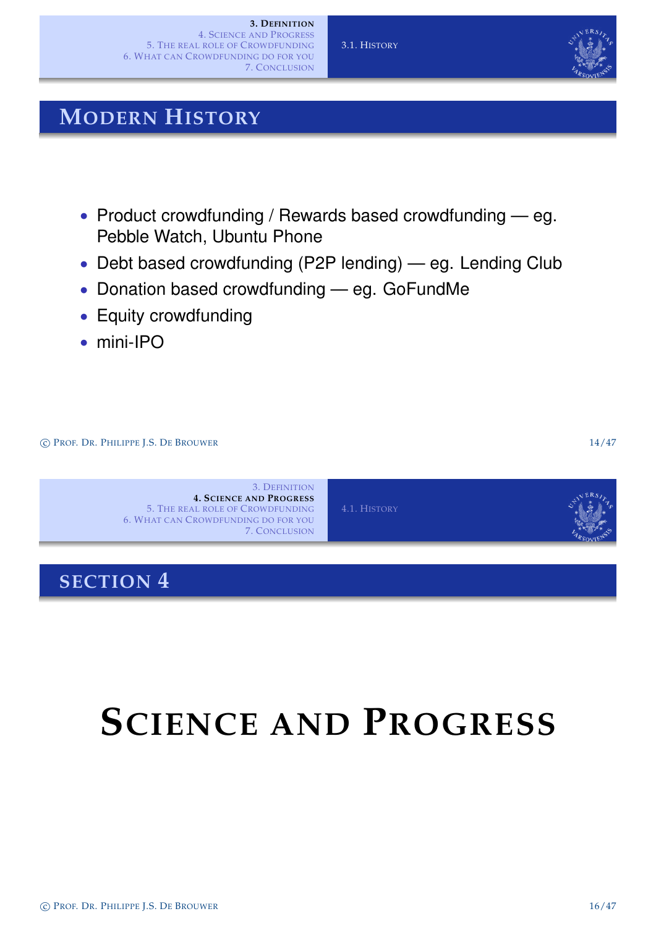#### 3.1. HISTORY

### **MODERN HISTORY**

- Product crowdfunding / Rewards based crowdfunding eg. Pebble Watch, Ubuntu Phone
- Debt based crowdfunding (P2P lending) eg. Lending Club
- Donation based crowdfunding eg. GoFundMe
- Equity crowdfunding
- mini-IPO

c PROF. DR. PHILIPPE J.S. DE BROUWER 14/47



### **SECTION 4**

## <span id="page-5-0"></span>**SCIENCE AND PROGRESS**

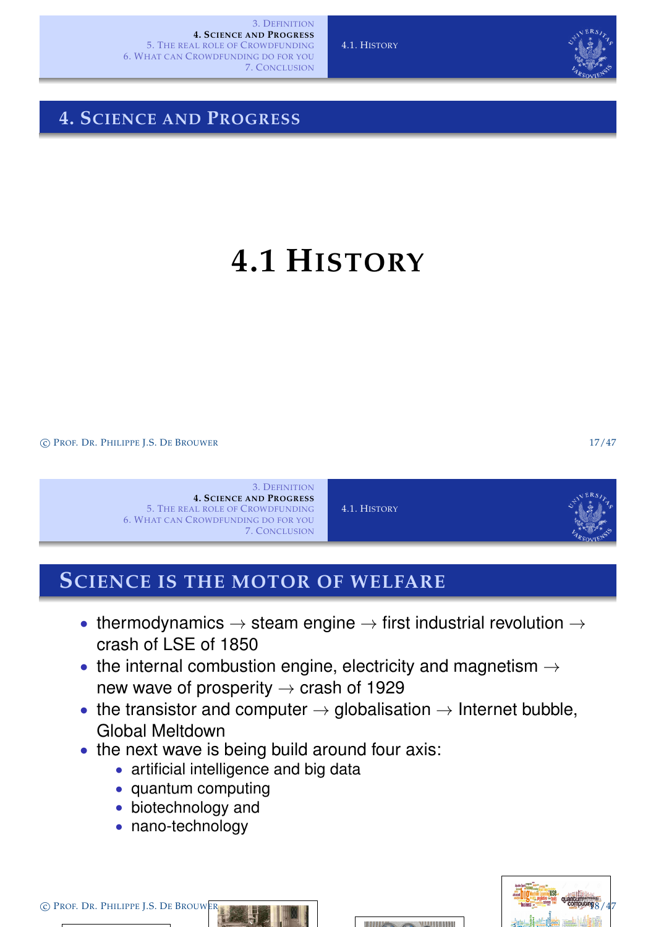

### **4. SCIENCE AND PROGRESS**

### **4.1 HISTORY**

c PROF. DR. PHILIPPE J.S. DE BROUWER 17/47



### **SCIENCE IS THE MOTOR OF WELFARE**

- [thermodynam](#page-3-0)ics  $\rightarrow$  steam engine  $\rightarrow$  first industrial revolution  $\rightarrow$ [crash of LSE](#page-7-0) [of 1850](#page-6-0)
- [the internal co](#page-15-0)mbustion engine, electricity and magnetism  $\rightarrow$ [new wave o](#page-5-0)f prosperity  $\rightarrow$  crash of 1929
- the transistor and computer  $\rightarrow$  globalisation  $\rightarrow$  Internet bubble, Global Meltdown
- the next wave is being build around four axis:
	- artificial intelligence and big data
	- quan[tum computing](#page-6-0)
	- biotechnology and
	- nano-technology

C PROF. DR. PHILIPPE J.S. DE BROUWER



<span id="page-6-0"></span>

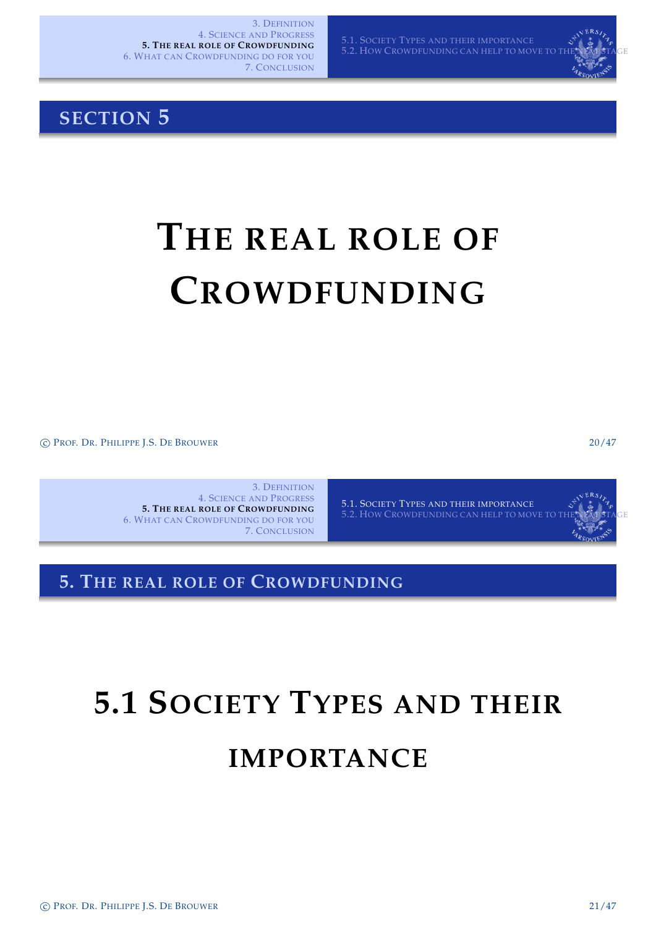5.1. SOCIETY TYPES AND THEIR IMPORTANCE 5.2. HOW CROWDFUNDING CAN HELP TO MOVE TO THE NEXT STAGE

### **SECTION 5**

## **THE REAL ROLE OF CROWDFUNDING**

c PROF. DR. PHILIPPE J.S. DE BROUWER 20/47

3. DEFINITION 4. SCIENCE AND PROGRESS **5. THE REAL ROLE OF CROWDFUNDING** 6. WHAT CAN CROWDFUNDING DO FOR YOU 7. CONCLUSION

5.1. SOCIETY TYPES AND THEIR IMPORTANCE 5.2. HOW CROWDFUNDING CAN HELP TO MOVE TO

**5. THE REAL ROLE OF CROWDFUNDING**

# **[5.1 S](#page-7-0)OCIETY TYPES AND THEIR**

### <span id="page-7-0"></span>**[IMPORTAN](#page-7-0)CE**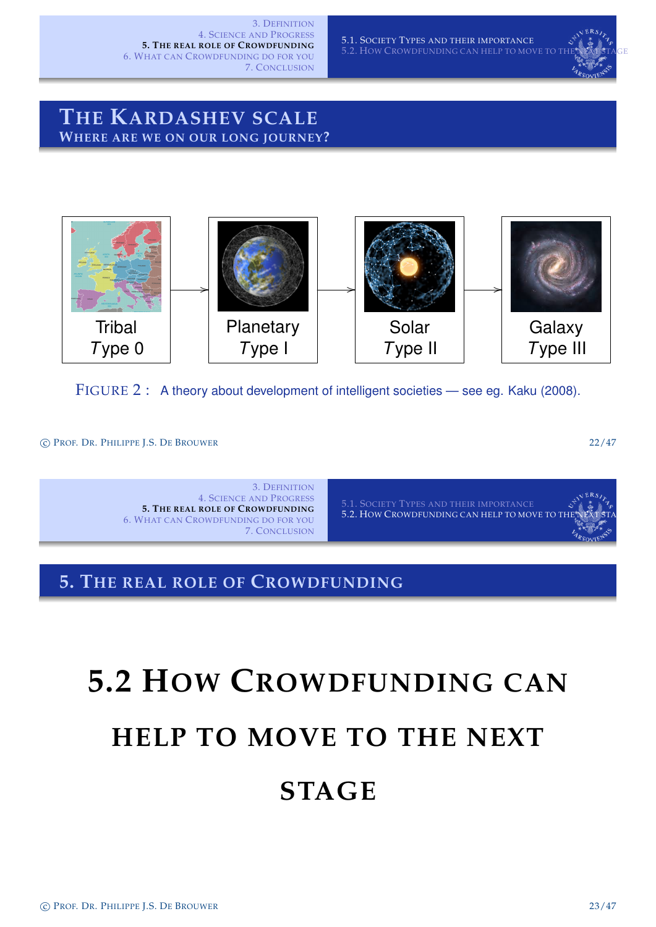5.1. SOCIETY TYPES AND THEIR IMPORTANCE 5.2. HOW CROWDFUNDING CAN HELP TO MOVE TO THE NEXT STAGE



### **THE KARDASHEV SCALE WHERE ARE WE ON OUR LONG JOURNEY?**



FIGURE 2: A theory about development of intelligent societies — see eg. Kaku (2008).

c PROF. DR. PHILIPPE J.S. DE BROUWER 22/47

3. DEFINITION 4. SCIENCE AND PROGRESS **5. THE REAL ROLE OF CROWDFUNDING** 6. WHAT CAN CROWDFUNDING DO FOR YOU 7. CONCLUSION

5.1. SOCIETY TYPES AND THEIR IMPORTANCE 5.2. HOW CROWDFUNDING CAN HELP TO MOVE TO T

#### **5. THE REAL ROLE OF CROWDFUNDING**

# <span id="page-8-0"></span>**[5.2 H](#page-7-0)OW CROWDFUNDING CAN HELP TO MOVE TO THE NEXT [STAGE](#page-8-0)**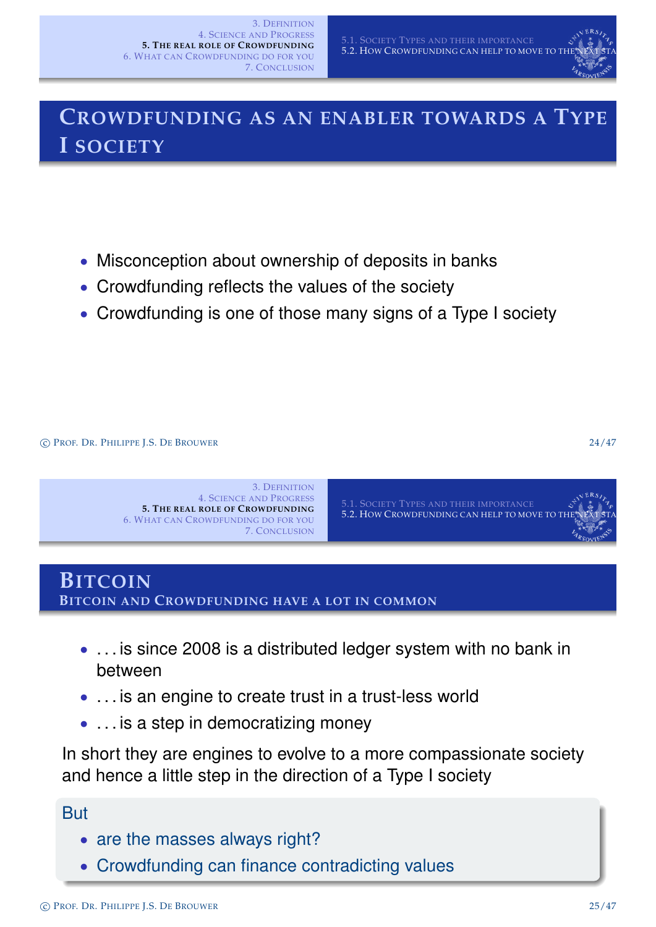

### **CROWDFUNDING AS AN ENABLER TOWARDS A TYPE I SOCIETY**

- Misconception about ownership of deposits in banks
- Crowdfunding reflects the values of the society
- Crowdfunding is one of those many signs of a Type I society

c PROF. DR. PHILIPPE J.S. DE BROUWER 24/47



### **BITCOIN BITCOIN AND CROWDFUNDING HAVE A LOT IN COMMON**

- [. . . is since 2008](#page-7-0)[is](#page-7-0)[a](#page-7-0)[distributed](#page-7-0)[ledger](#page-7-0)[s](#page-7-0)ystem with no bank in [between](#page-15-0)
- ... is an engine to create trust in a trust-less world
- ... is a step in democratizing money

In short they are engines to evolve to a more compassionate society and hence a little step in the direction of a Type I society

#### But

- are the masses always right?
- Crowdfunding can finance contradicting values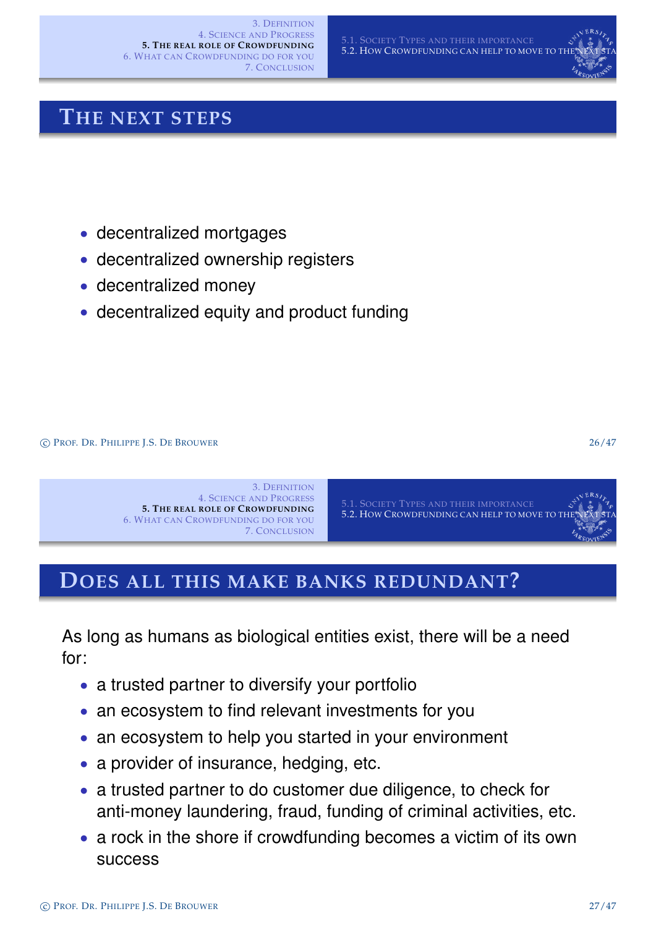### **THE NEXT STEPS**

- decentralized mortgages
- decentralized ownership registers
- decentralized money
- decentralized equity and product funding

c PROF. DR. PHILIPPE J.S. DE BROUWER 26/47



### **DOES ALL THIS MAKE BANKS REDUNDANT?**

[As long as human](#page-5-0)[s as biological entities exis](#page-7-0)t, there will be a need [for:](#page-11-0)

- a trusted partner to diversify your portfolio
- an ecosystem to find relevant investments for you
- an ecosystem to help you started in your environment
- a provider of insurance, hedging, etc.
- a trusted partner to do customer due diligence, to check for anti-money laundering, fraud, funding of criminal activities, etc.
- a rock in the shore if crowdfunding becomes a victim of its own success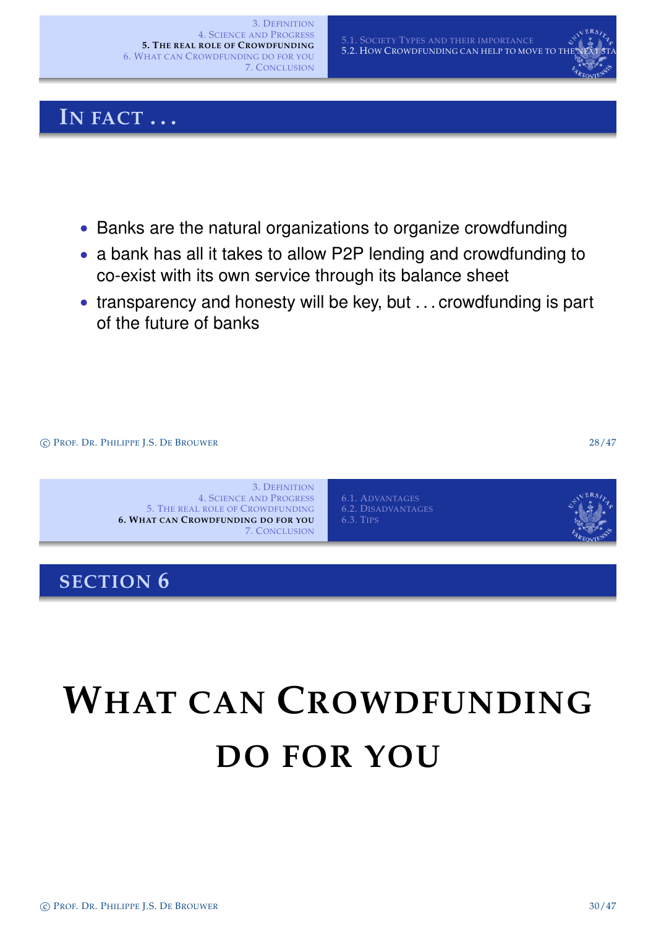### **IN FACT . . .**

- Banks are the natural organizations to organize crowdfunding
- a bank has all it takes to allow P2P lending and crowdfunding to co-exist with its own service through its balance sheet
- transparency and honesty will be key, but . . . crowdfunding is part of the future of banks



# <span id="page-11-0"></span>**WHAT CAN CROWDFUNDING [DO FOR Y](#page-11-0)OU**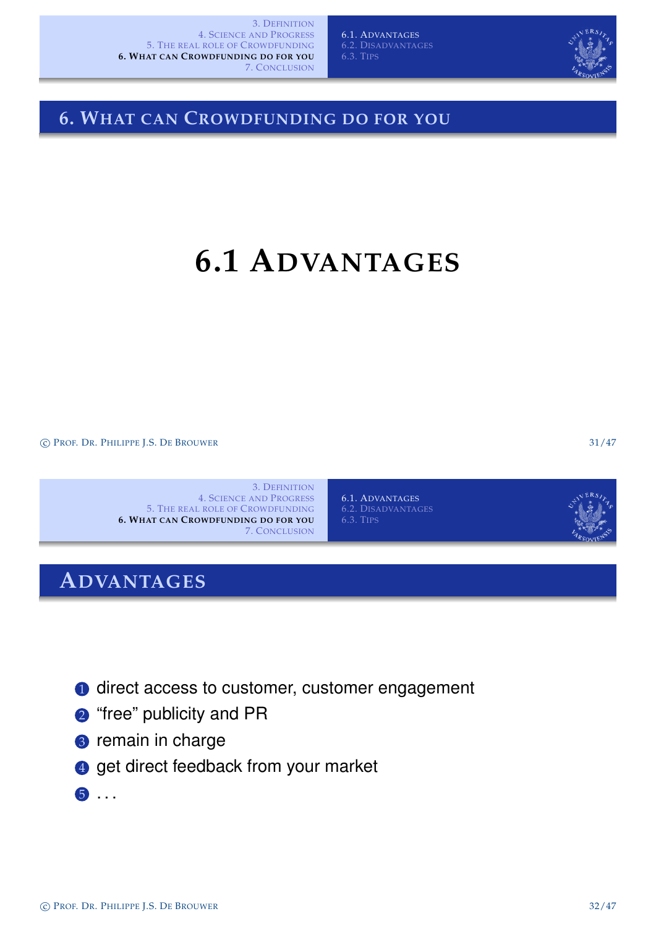6.1. ADVANTAGES 6.3. TIPS



### **6.1 ADVANTAGES**

6.1. ADVANTAGES

6.3. TIPS

c PROF. DR. PHILIPPE J.S. DE BROUWER 31/47

3. DEFINITION 4. SCIENCE AND PROGRESS 5. THE REAL ROLE OF CROWDFUNDING **6. WHAT CAN CROWDFUNDING DO FOR YOU** 7. CONCLUSION

### **ADVANTAGES**

**1** [direct access to custome](#page-11-0)r, customer engagement

- <sup>2</sup> "free" publicity and PR
- <sup>3</sup> remain in charge
- 4 get direct feedback from your market
- <span id="page-12-0"></span>5 . . .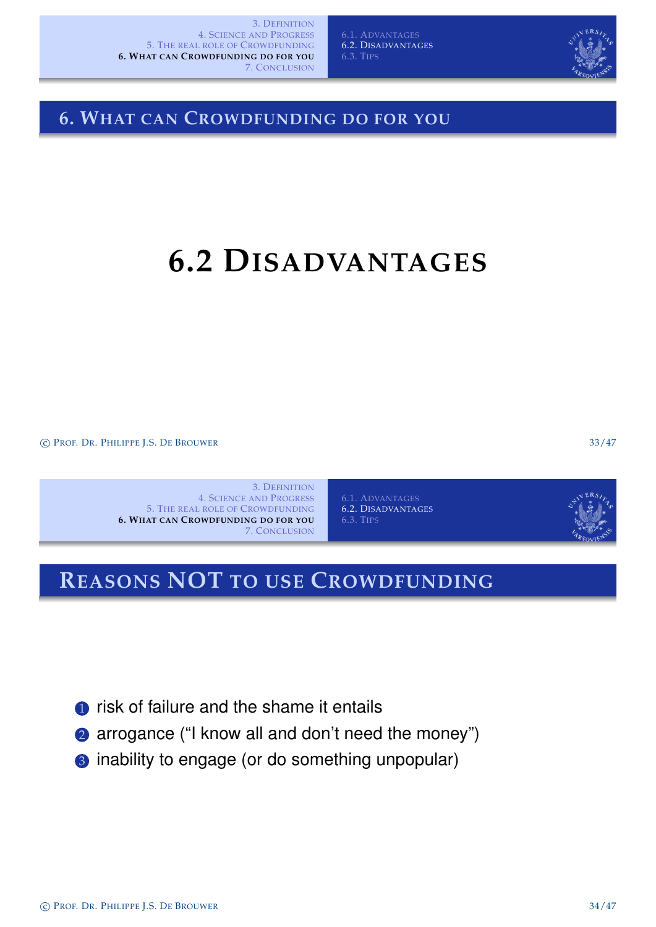6.1. ADVANTAGES 6.2. DISADVANTAGES 6.3. TIPS



### **6. WHAT CAN CROWDFUNDING DO FOR YOU**

### **6.2 DISADVANTAGES**

c PROF. DR. PHILIPPE J.S. DE BROUWER 33/47

3. DEFINITION 4. SCIENCE AND PROGRESS 5. THE REAL ROLE OF CROWDFUNDING **6. WHAT CAN CROWDFUNDING DO FOR YOU** 7. CONCLUSION

6.1. ADVANTAGES 6.2. DISADVANTAGES 6.3. TIPS



### **REASONS NOT TO USE CROWDFUNDING**

- **1** [risk of failure and the sha](#page-11-0)me it entails
- **2** arrogance ("I know all and don't need the money")
- <span id="page-13-0"></span><sup>3</sup> inability to engage (or do something unpopular)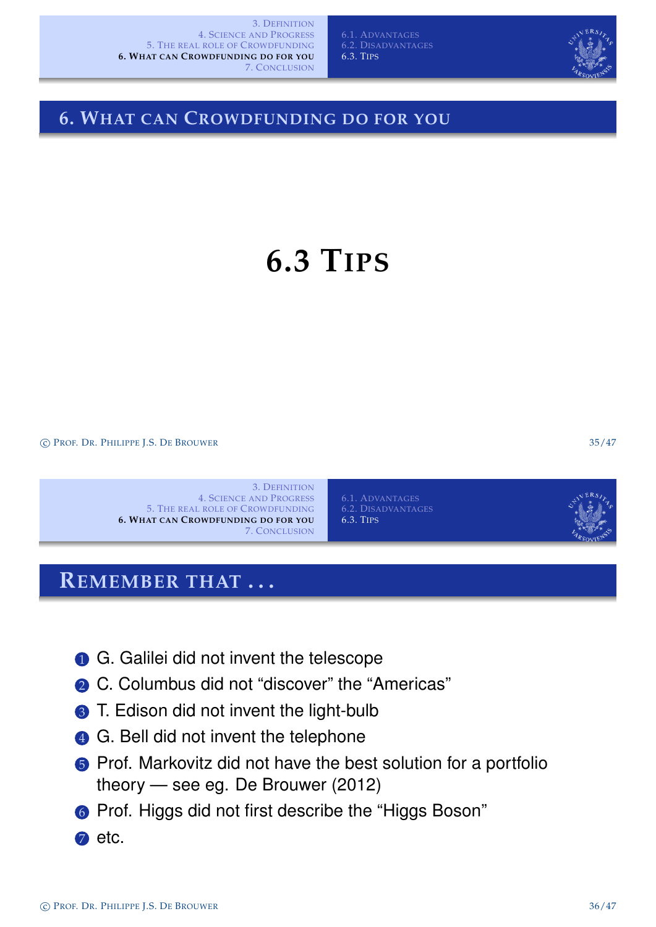6.3. TIPS



### **6. WHAT CAN CROWDFUNDING DO FOR YOU**

### **6.3 TIPS**

c PROF. DR. PHILIPPE J.S. DE BROUWER 35/47

3. DEFINITION 4. SCIENCE AND PROGRESS 5. THE REAL ROLE OF CROWDFUNDING **6. WHAT CAN CROWDFUNDING DO FOR YOU** 7. CONCLUSION 6.3. TIPS

### **REMEMBER THAT . . .**

- **1 [G.](#page-11-0)[Galilei](#page-11-0) [did](#page-11-0) [not invent the telescope](#page-14-0)**
- **2** C. Columbus did not "discover" the "Americas"
- 3 [T. Edison did not invent th](#page-11-0)e light-bulb
- 4 G. Bell did not invent the telephone
- **6** Prof. Markovitz did not have the best solution for a portfolio theory — se[e eg. D](#page-14-0)e Brouwer (2012)
- 6 Prof. Higgs did not first describe the "Higgs Boson"
- <span id="page-14-0"></span>**2** etc.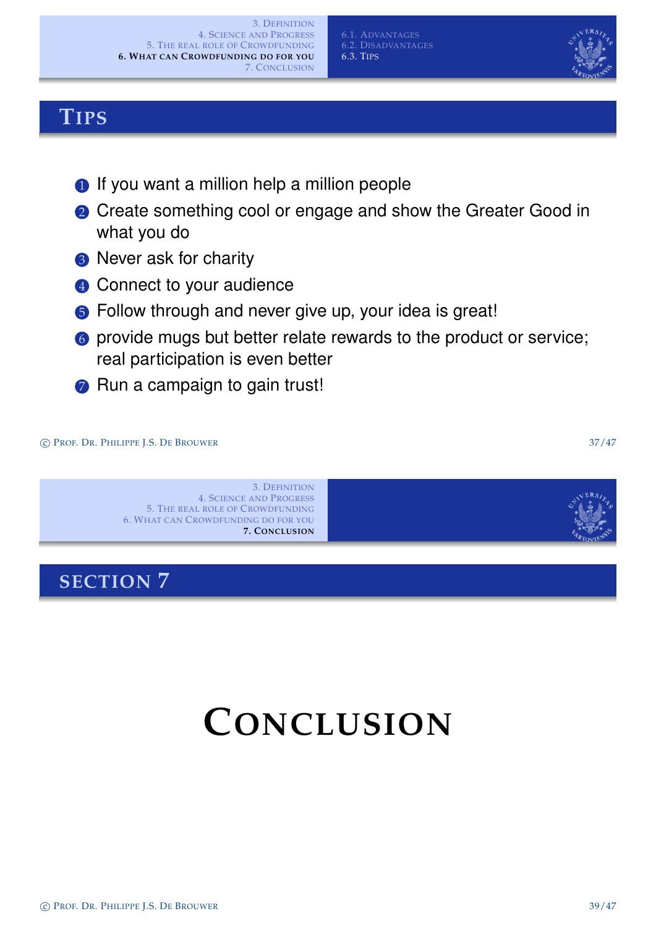c PROF. DR. PHILIPPE J.S. DE BROUWER 39/47

### **TIPS**

- **1** If you want a million help a million people
- **2** Create something cool or engage and show the Greater Good in what you do
- <sup>3</sup> Never ask for charity
- 4 Connect to your audience
- **6** Follow through and never give up, your idea is great!
- 6 provide mugs but better relate rewards to the product or service; real participation is even better
- **7** Run a campaign to gain trust!

#### c PROF. DR. PHILIPPE J.S. DE BROUWER 37/47

3. DEFINITION 4. SCIENCE AND PROGRESS 5. THE REAL ROLE OF CROWDFUNDING 6. WHAT CAN CROWDFUNDING DO FOR YOU **7. CONCLUSION**

### **SECTION 7**

## <span id="page-15-0"></span>**CONCLUSION**







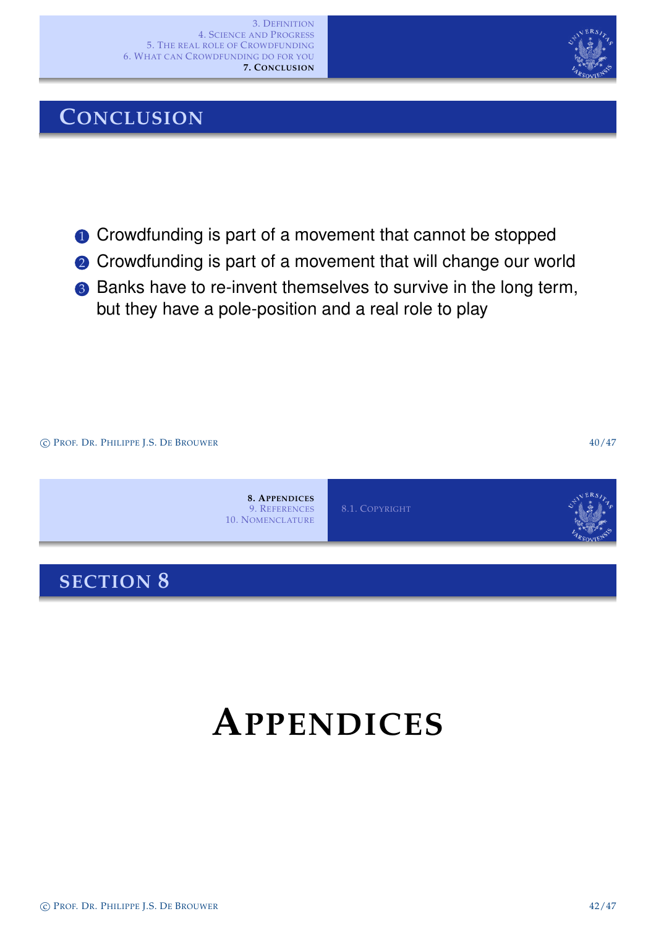### **CONCLUSION**

- **1** Crowdfunding is part of a movement that cannot be stopped
- **2** Crowdfunding is part of a movement that will change our world
- <sup>3</sup> Banks have to re-invent themselves to survive in the long term, but they have a pole-position and a real role to play



## <span id="page-16-0"></span>**APPENDICES**

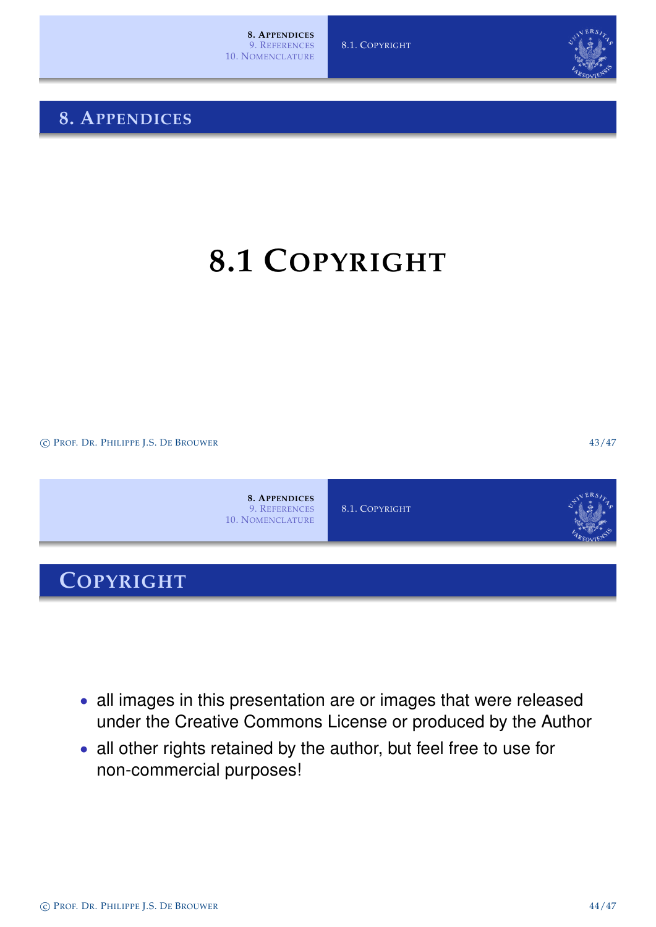### **8. APPENDICES**

**8.1 COPYRIGHT**

c PROF. DR. PHILIPPE J.S. DE BROUWER 43/47



- [al](#page-16-0)l images in this presentation are or images that were released under the Creative Commons License or produced by the Author
- all other rights retained by the author, but feel free to use for non-commercial purposes!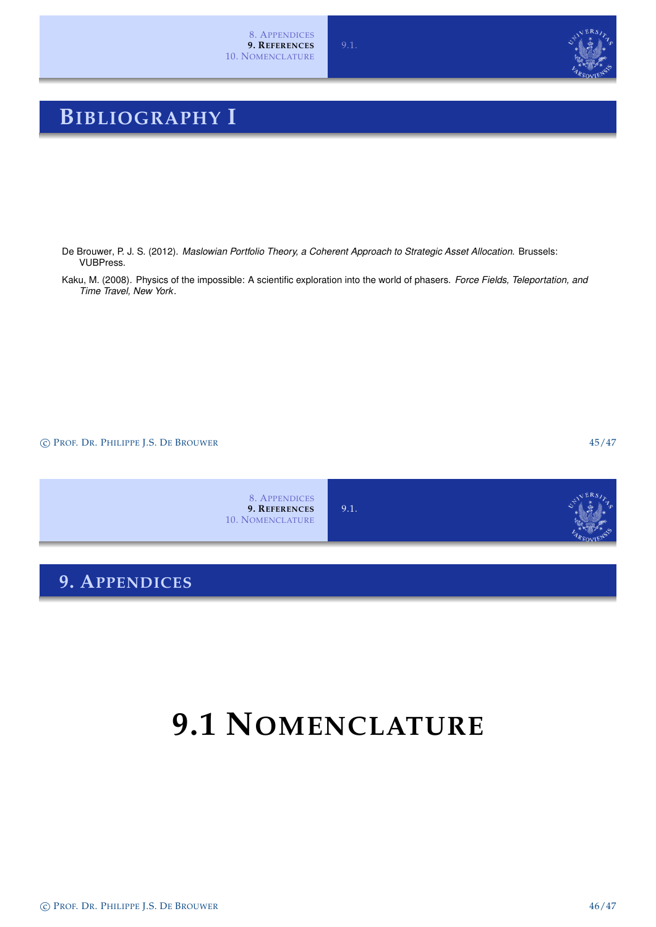

### **BIBLIOGRAPHY I**

- De Brouwer, P. J. S. (2012). *Maslowian Portfolio Theory, a Coherent Approach to Strategic Asset Allocation*. Brussels: VUBPress.
- Kaku, M. (2008). Physics of the impossible: A scientific exploration into the world of phasers. *Force Fields, Teleportation, and Time Travel, New York*.

c PROF. DR. PHILIPPE J.S. DE BROUWER 45/47



### **9.1 NOMENCLATURE**